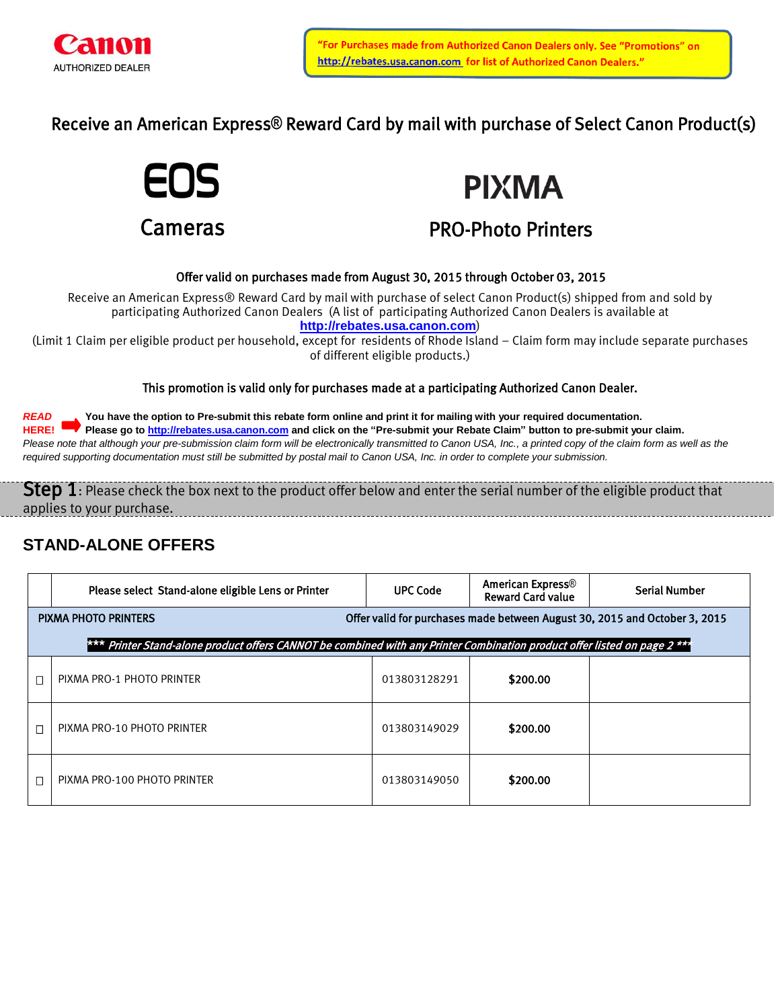

Receive an American Express**®** Reward Card by mail with purchase of Select Canon Product(s)





# PRO-Photo Printers

### Offer valid on purchases made from August 30, 2015 through October 03, 2015

Receive an American Express® Reward Card by mail with purchase of select Canon Product(s) shipped from and sold by participating Authorized Canon Dealers (A list of participating Authorized Canon Dealers is available at **[http://rebates.usa.canon.com](http://rebates.usa.canon.com/)**)

(Limit 1 Claim per eligible product per household, except for residents of Rhode Island – Claim form may include separate purchases of different eligible products.)

This promotion is valid only for purchases made at a participating Authorized Canon Dealer.

*READ* **You have the option to Pre-submit this rebate form online and print it for mailing with your required documentation. HERE! Please go to [http://rebates.usa.canon.com](http://rebates.usa.canon.com/) and click on the "Pre-submit your Rebate Claim" button to pre-submit your claim.** Please note that although your pre-submission claim form will be electronically transmitted to Canon USA, Inc., a printed copy of the claim form as well as the *required supporting documentation must still be submitted by postal mail to Canon USA, Inc. in order to complete your submission.*

Step 1: Please check the box next to the product offer below and enter the serial number of the eligible product that applies to your purchase.

### **STAND-ALONE OFFERS**

| Please select Stand-alone eligible Lens or Printer                                                                        | <b>UPC Code</b> | <b>American Express®</b><br><b>Reward Card value</b> | <b>Serial Number</b> |  |  |  |  |
|---------------------------------------------------------------------------------------------------------------------------|-----------------|------------------------------------------------------|----------------------|--|--|--|--|
| Offer valid for purchases made between August 30, 2015 and October 3, 2015<br><b>PIXMA PHOTO PRINTERS</b>                 |                 |                                                      |                      |  |  |  |  |
| *** Printer Stand-alone product offers CANNOT be combined with any Printer Combination product offer listed on page 2 *** |                 |                                                      |                      |  |  |  |  |
| PIXMA PRO-1 PHOTO PRINTER                                                                                                 | 013803128291    | \$200.00                                             |                      |  |  |  |  |
| PIXMA PRO-10 PHOTO PRINTER                                                                                                | 013803149029    | \$200.00                                             |                      |  |  |  |  |
| PIXMA PRO-100 PHOTO PRINTER                                                                                               | 013803149050    | \$200.00                                             |                      |  |  |  |  |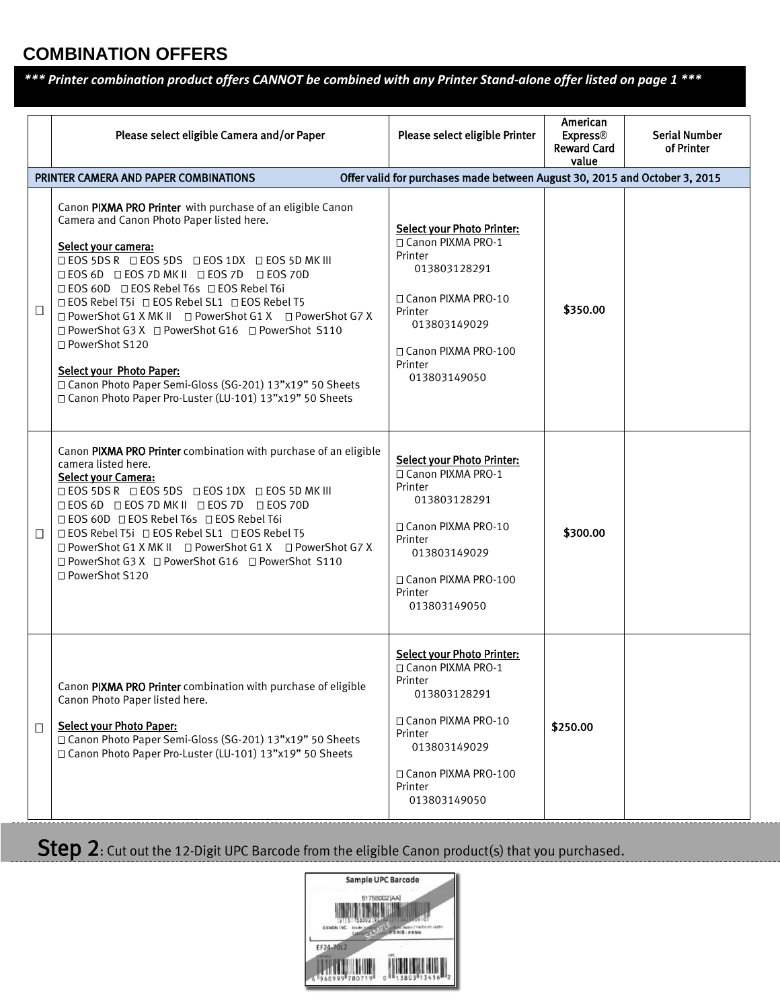## **COMBINATION OFFERS**

*\*\*\* Printer combination product offers CANNOT be combined with any Printer Stand-alone offer listed on page 1 \*\*\**

|                                                                                                                     | Please select eligible Camera and/or Paper                                                                                                                                                                                                                                                                                                                                                                                                                                                                                                                                                                                          | Please select eligible Printer                                                                                                                                                             | American<br><b>Express®</b><br><b>Reward Card</b><br>value | <b>Serial Number</b><br>of Printer |  |  |  |
|---------------------------------------------------------------------------------------------------------------------|-------------------------------------------------------------------------------------------------------------------------------------------------------------------------------------------------------------------------------------------------------------------------------------------------------------------------------------------------------------------------------------------------------------------------------------------------------------------------------------------------------------------------------------------------------------------------------------------------------------------------------------|--------------------------------------------------------------------------------------------------------------------------------------------------------------------------------------------|------------------------------------------------------------|------------------------------------|--|--|--|
| Offer valid for purchases made between August 30, 2015 and October 3, 2015<br>PRINTER CAMERA AND PAPER COMBINATIONS |                                                                                                                                                                                                                                                                                                                                                                                                                                                                                                                                                                                                                                     |                                                                                                                                                                                            |                                                            |                                    |  |  |  |
| $\Box$                                                                                                              | Canon PIXMA PRO Printer with purchase of an eligible Canon<br>Camera and Canon Photo Paper listed here.<br>Select your camera:<br>□ EOS 5DS R □ EOS 5DS □ EOS 1DX □ EOS 5D MK III<br><b>DEOS 6D DEOS 7D MK II DEOS 7D DEOS 70D</b><br>□ EOS 60D □ EOS Rebel T6s □ EOS Rebel T6i<br>□ EOS Rebel T5i □ EOS Rebel SL1 □ EOS Rebel T5<br>□ PowerShot G1 X MK II □ PowerShot G1 X □ PowerShot G7 X<br>□ PowerShot G3 X □ PowerShot G16 □ PowerShot S110<br>□ PowerShot S120<br><b>Select your Photo Paper:</b><br>□ Canon Photo Paper Semi-Gloss (SG-201) 13"x19" 50 Sheets<br>□ Canon Photo Paper Pro-Luster (LU-101) 13"x19" 50 Sheets | <b>Select your Photo Printer:</b><br>□ Canon PIXMA PRO-1<br>Printer<br>013803128291<br>□ Canon PIXMA PRO-10<br>Printer<br>013803149029<br>□ Canon PIXMA PRO-100<br>Printer<br>013803149050 | \$350.00                                                   |                                    |  |  |  |
| $\Box$                                                                                                              | Canon PIXMA PRO Printer combination with purchase of an eligible<br>camera listed here.<br>Select your Camera:<br><b>□ EOS 5DS R □ EOS 5DS □ EOS 1DX □ EOS 5D MK III</b><br><b>DEOS 6D DEOS 7D MK II DEOS 7D DEOS 70D</b><br>□ EOS 60D □ EOS Rebel T6s □ EOS Rebel T6i<br>□ EOS Rebel T5i □ EOS Rebel SL1 □ EOS Rebel T5<br>□ PowerShot G1 X MK II □ PowerShot G1 X □ PowerShot G7 X<br>□ PowerShot G3 X □ PowerShot G16 □ PowerShot S110<br>□ PowerShot S120                                                                                                                                                                       | <b>Select your Photo Printer:</b><br>□ Canon PIXMA PRO-1<br>Printer<br>013803128291<br>□ Canon PIXMA PRO-10<br>Printer<br>013803149029<br>□ Canon PIXMA PRO-100<br>Printer<br>013803149050 | \$300.00                                                   |                                    |  |  |  |
| $\Box$                                                                                                              | Canon PIXMA PRO Printer combination with purchase of eligible<br>Canon Photo Paper listed here.<br><b>Select your Photo Paper:</b><br>□ Canon Photo Paper Semi-Gloss (SG-201) 13"x19" 50 Sheets<br>□ Canon Photo Paper Pro-Luster (LU-101) 13"x19" 50 Sheets                                                                                                                                                                                                                                                                                                                                                                        | <b>Select your Photo Printer:</b><br>□ Canon PIXMA PRO-1<br>Printer<br>013803128291<br>□ Canon PIXMA PRO-10<br>Printer<br>013803149029<br>□ Canon PIXMA PRO-100<br>Printer<br>013803149050 | \$250.00                                                   |                                    |  |  |  |

Step 2: Cut out the 12-Digit UPC Barcode from the eligible Canon product(s) that you purchased.